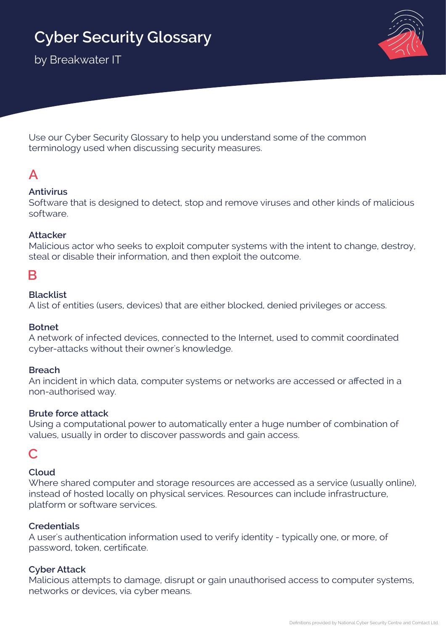# **Cyber Security Glossary**

by Breakwater IT



Use our Cyber Security Glossary to help you understand some of the common terminology used when discussing security measures.

## **A**

#### **Antivirus**

Software that is designed to detect, stop and remove viruses and other kinds of malicious software.

#### **Attacker**

Malicious actor who seeks to exploit computer systems with the intent to change, destroy, steal or disable their information, and then exploit the outcome.

### **B**

#### **Blacklist**

A list of entities (users, devices) that are either blocked, denied privileges or access.

#### **Botnet**

A network of infected devices, connected to the Internet, used to commit coordinated cyber-attacks without their owner's knowledge.

#### **Breach**

An incident in which data, computer systems or networks are accessed or affected in a non-authorised way.

#### **Brute force attack**

Using a computational power to automatically enter a huge number of combination of values, usually in order to discover passwords and gain access.

### **C**

#### **Cloud**

Where shared computer and storage resources are accessed as a service (usually online), instead of hosted locally on physical services. Resources can include infrastructure, platform or software services.

#### **Credentials**

A user's authentication information used to verify identity - typically one, or more, of password, token, certificate.

#### **Cyber Attack**

Malicious attempts to damage, disrupt or gain unauthorised access to computer systems, networks or devices, via cyber means.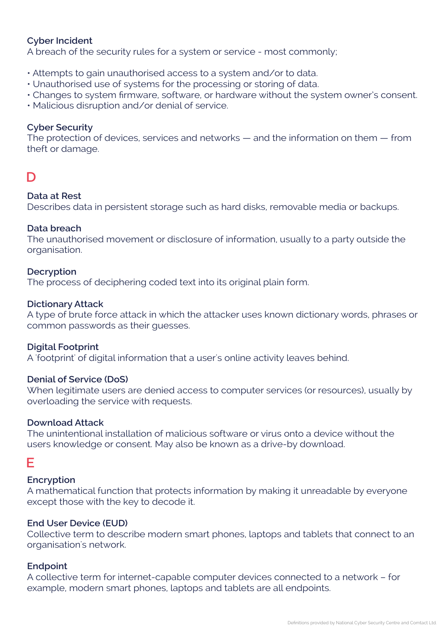#### **Cyber Incident**

A breach of the security rules for a system or service - most commonly;

- Attempts to gain unauthorised access to a system and/or to data.
- Unauthorised use of systems for the processing or storing of data.
- Changes to system firmware, software, or hardware without the system owner's consent.
- Malicious disruption and/or denial of service.

#### **Cyber Security**

The protection of devices, services and networks — and the information on them — from theft or damage.

## **D**

#### **Data at Rest**

Describes data in persistent storage such as hard disks, removable media or backups.

#### **Data breach**

The unauthorised movement or disclosure of information, usually to a party outside the organisation.

#### **Decryption**

The process of deciphering coded text into its original plain form.

#### **Dictionary Attack**

A type of brute force attack in which the attacker uses known dictionary words, phrases or common passwords as their guesses.

#### **Digital Footprint**

A 'footprint' of digital information that a user's online activity leaves behind.

#### **Denial of Service (DoS)**

When legitimate users are denied access to computer services (or resources), usually by overloading the service with requests.

#### **Download Attack**

The unintentional installation of malicious software or virus onto a device without the users knowledge or consent. May also be known as a drive-by download.

## **E**

#### **Encryption**

A mathematical function that protects information by making it unreadable by everyone except those with the key to decode it.

#### **End User Device (EUD)**

Collective term to describe modern smart phones, laptops and tablets that connect to an organisation's network.

#### **Endpoint**

A collective term for internet-capable computer devices connected to a network – for example, modern smart phones, laptops and tablets are all endpoints.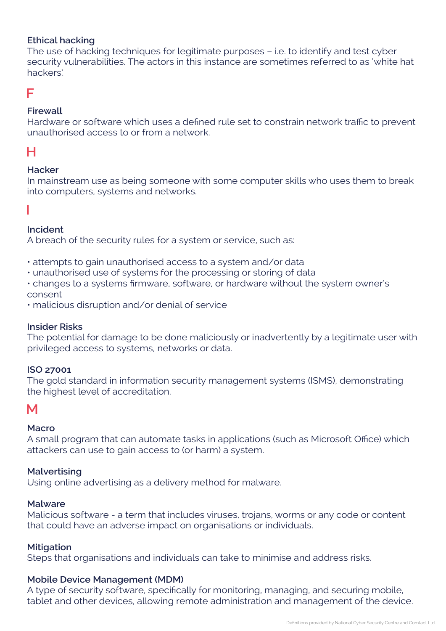#### **Ethical hacking**

The use of hacking techniques for legitimate purposes – i.e. to identify and test cyber security vulnerabilities. The actors in this instance are sometimes referred to as 'white hat hackers'.

### **F**

#### **Firewall**

Hardware or software which uses a defined rule set to constrain network traffic to prevent unauthorised access to or from a network.

## **H**

#### **Hacker**

In mainstream use as being someone with some computer skills who uses them to break into computers, systems and networks.

#### **I**

#### **Incident**

A breach of the security rules for a system or service, such as:

- attempts to gain unauthorised access to a system and/or data
- unauthorised use of systems for the processing or storing of data
- changes to a systems firmware, software, or hardware without the system owner's consent
- malicious disruption and/or denial of service

#### **Insider Risks**

The potential for damage to be done maliciously or inadvertently by a legitimate user with privileged access to systems, networks or data.

#### **ISO 27001**

The gold standard in information security management systems (ISMS), demonstrating the highest level of accreditation.

## **M**

#### **Macro**

A small program that can automate tasks in applications (such as Microsoft Office) which attackers can use to gain access to (or harm) a system.

#### **Malvertising**

Using online advertising as a delivery method for malware.

#### **Malware**

Malicious software - a term that includes viruses, trojans, worms or any code or content that could have an adverse impact on organisations or individuals.

#### **Mitigation**

Steps that organisations and individuals can take to minimise and address risks.

#### **Mobile Device Management (MDM)**

A type of security software, specifically for monitoring, managing, and securing mobile, tablet and other devices, allowing remote administration and management of the device.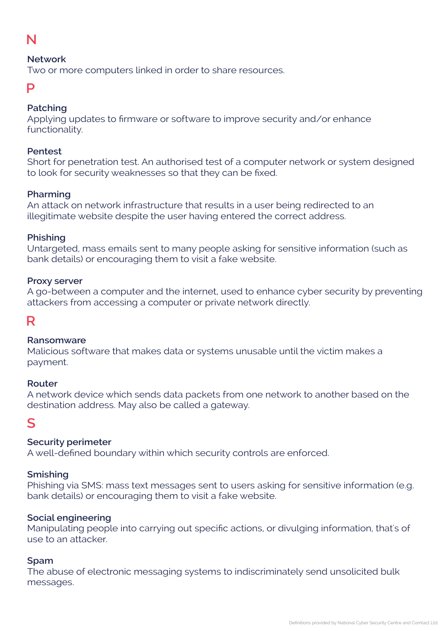## **N**

#### **Network**

Two or more computers linked in order to share resources.

### **P**

#### **Patching**

Applying updates to firmware or software to improve security and/or enhance functionality.

#### **Pentest**

Short for penetration test. An authorised test of a computer network or system designed to look for security weaknesses so that they can be fixed.

#### **Pharming**

An attack on network infrastructure that results in a user being redirected to an illegitimate website despite the user having entered the correct address.

#### **Phishing**

Untargeted, mass emails sent to many people asking for sensitive information (such as bank details) or encouraging them to visit a fake website.

#### **Proxy server**

A go-between a computer and the internet, used to enhance cyber security by preventing attackers from accessing a computer or private network directly.

## **R**

#### **Ransomware**

Malicious software that makes data or systems unusable until the victim makes a payment.

#### **Router**

A network device which sends data packets from one network to another based on the destination address. May also be called a gateway.

## **S**

#### **Security perimeter**

A well-defined boundary within which security controls are enforced.

#### **Smishing**

Phishing via SMS: mass text messages sent to users asking for sensitive information (e.g. bank details) or encouraging them to visit a fake website.

#### **Social engineering**

Manipulating people into carrying out specific actions, or divulging information, that's of use to an attacker.

#### **Spam**

The abuse of electronic messaging systems to indiscriminately send unsolicited bulk messages.